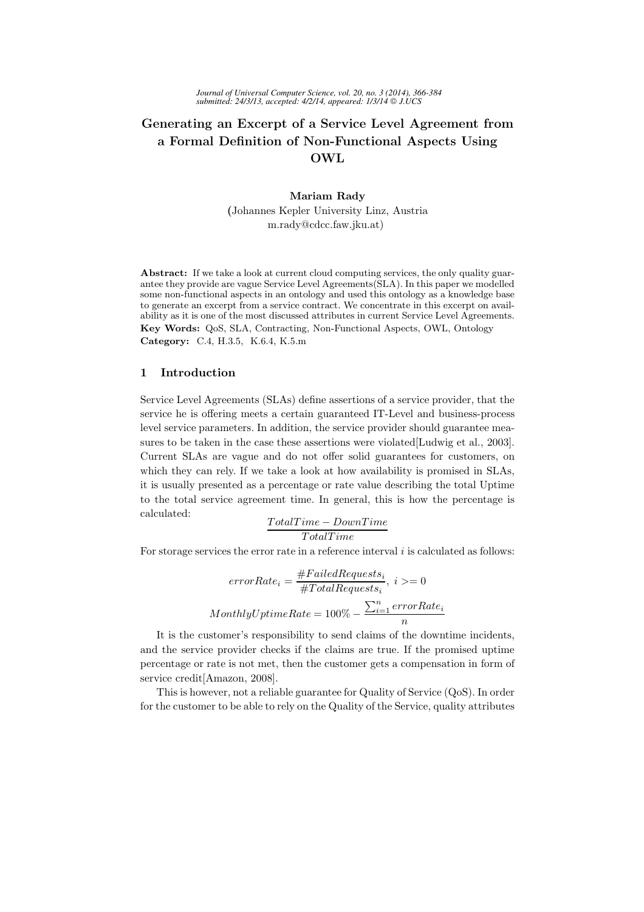# Generating an Excerpt of a Service Level Agreement from a Formal Definition of Non-Functional Aspects Using OWL

#### Mariam Rady

(Johannes Kepler University Linz, Austria m.rady@cdcc.faw.jku.at)

Abstract: If we take a look at current cloud computing services, the only quality guarantee they provide are vague Service Level Agreements(SLA). In this paper we modelled some non-functional aspects in an ontology and used this ontology as a knowledge base to generate an excerpt from a service contract. We concentrate in this excerpt on availability as it is one of the most discussed attributes in current Service Level Agreements. Key Words: QoS, SLA, Contracting, Non-Functional Aspects, OWL, Ontology Category: C.4, H.3.5, K.6.4, K.5.m

# 1 Introduction

Service Level Agreements (SLAs) define assertions of a service provider, that the service he is offering meets a certain guaranteed IT-Level and business-process level service parameters. In addition, the service provider should guarantee measures to be taken in the case these assertions were violated[Ludwig et al., 2003]. Current SLAs are vague and do not offer solid guarantees for customers, on which they can rely. If we take a look at how availability is promised in SLAs, it is usually presented as a percentage or rate value describing the total Uptime to the total service agreement time. In general, this is how the percentage is calculated:

$$
\frac{TotalTime - DownTime}{TotalTime}
$$

For storage services the error rate in a reference interval  $i$  is calculated as follows:

$$
errorRate_i = \frac{\#FailedRequests_i}{\#TotalRequests_i}, i >= 0
$$

$$
MonthlyUptimeRate = 100\% - \frac{\sum_{i=1}^{n}errorRate_i}{n}
$$

It is the customer's responsibility to send claims of the downtime incidents, and the service provider checks if the claims are true. If the promised uptime percentage or rate is not met, then the customer gets a compensation in form of service credit[Amazon, 2008].

This is however, not a reliable guarantee for Quality of Service (QoS). In order for the customer to be able to rely on the Quality of the Service, quality attributes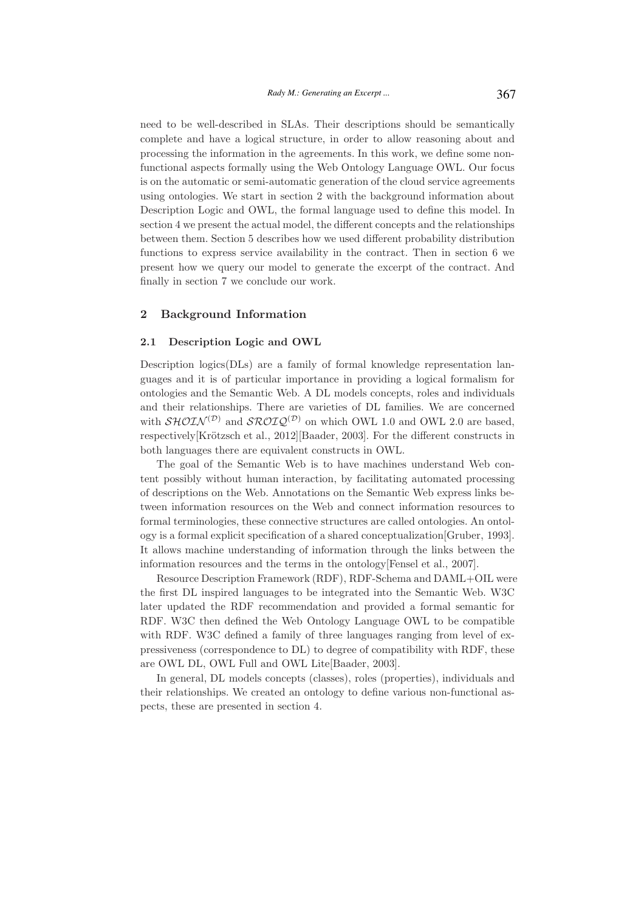need to be well-described in SLAs. Their descriptions should be semantically complete and have a logical structure, in order to allow reasoning about and processing the information in the agreements. In this work, we define some nonfunctional aspects formally using the Web Ontology Language OWL. Our focus is on the automatic or semi-automatic generation of the cloud service agreements using ontologies. We start in section 2 with the background information about Description Logic and OWL, the formal language used to define this model. In section 4 we present the actual model, the different concepts and the relationships between them. Section 5 describes how we used different probability distribution functions to express service availability in the contract. Then in section 6 we present how we query our model to generate the excerpt of the contract. And finally in section 7 we conclude our work.

## 2 Background Information

#### 2.1 Description Logic and OWL

Description logics(DLs) are a family of formal knowledge representation languages and it is of particular importance in providing a logical formalism for ontologies and the Semantic Web. A DL models concepts, roles and individuals and their relationships. There are varieties of DL families. We are concerned with  $\mathcal{SHOLN}^{(\mathcal{D})}$  and  $\mathcal{SROLQ}^{(\mathcal{D})}$  on which OWL 1.0 and OWL 2.0 are based, respectively[Krötzsch et al., 2012][Baader, 2003]. For the different constructs in both languages there are equivalent constructs in OWL.

The goal of the Semantic Web is to have machines understand Web content possibly without human interaction, by facilitating automated processing of descriptions on the Web. Annotations on the Semantic Web express links between information resources on the Web and connect information resources to formal terminologies, these connective structures are called ontologies. An ontology is a formal explicit specification of a shared conceptualization[Gruber, 1993]. It allows machine understanding of information through the links between the information resources and the terms in the ontology[Fensel et al., 2007].

Resource Description Framework (RDF), RDF-Schema and DAML+OIL were the first DL inspired languages to be integrated into the Semantic Web. W3C later updated the RDF recommendation and provided a formal semantic for RDF. W3C then defined the Web Ontology Language OWL to be compatible with RDF. W3C defined a family of three languages ranging from level of expressiveness (correspondence to DL) to degree of compatibility with RDF, these are OWL DL, OWL Full and OWL Lite[Baader, 2003].

In general, DL models concepts (classes), roles (properties), individuals and their relationships. We created an ontology to define various non-functional aspects, these are presented in section 4.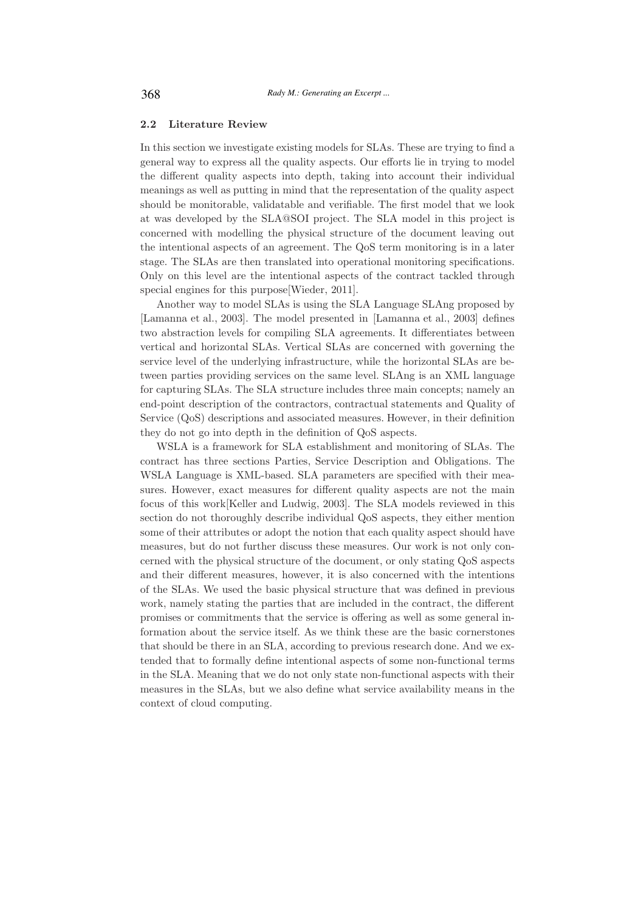#### 2.2 Literature Review

In this section we investigate existing models for SLAs. These are trying to find a general way to express all the quality aspects. Our efforts lie in trying to model the different quality aspects into depth, taking into account their individual meanings as well as putting in mind that the representation of the quality aspect should be monitorable, validatable and verifiable. The first model that we look at was developed by the SLA@SOI project. The SLA model in this project is concerned with modelling the physical structure of the document leaving out the intentional aspects of an agreement. The QoS term monitoring is in a later stage. The SLAs are then translated into operational monitoring specifications. Only on this level are the intentional aspects of the contract tackled through special engines for this purpose[Wieder, 2011].

Another way to model SLAs is using the SLA Language SLAng proposed by [Lamanna et al., 2003]. The model presented in [Lamanna et al., 2003] defines two abstraction levels for compiling SLA agreements. It differentiates between vertical and horizontal SLAs. Vertical SLAs are concerned with governing the service level of the underlying infrastructure, while the horizontal SLAs are between parties providing services on the same level. SLAng is an XML language for capturing SLAs. The SLA structure includes three main concepts; namely an end-point description of the contractors, contractual statements and Quality of Service (QoS) descriptions and associated measures. However, in their definition they do not go into depth in the definition of QoS aspects.

WSLA is a framework for SLA establishment and monitoring of SLAs. The contract has three sections Parties, Service Description and Obligations. The WSLA Language is XML-based. SLA parameters are specified with their measures. However, exact measures for different quality aspects are not the main focus of this work[Keller and Ludwig, 2003]. The SLA models reviewed in this section do not thoroughly describe individual QoS aspects, they either mention some of their attributes or adopt the notion that each quality aspect should have measures, but do not further discuss these measures. Our work is not only concerned with the physical structure of the document, or only stating QoS aspects and their different measures, however, it is also concerned with the intentions of the SLAs. We used the basic physical structure that was defined in previous work, namely stating the parties that are included in the contract, the different promises or commitments that the service is offering as well as some general information about the service itself. As we think these are the basic cornerstones that should be there in an SLA, according to previous research done. And we extended that to formally define intentional aspects of some non-functional terms in the SLA. Meaning that we do not only state non-functional aspects with their measures in the SLAs, but we also define what service availability means in the context of cloud computing.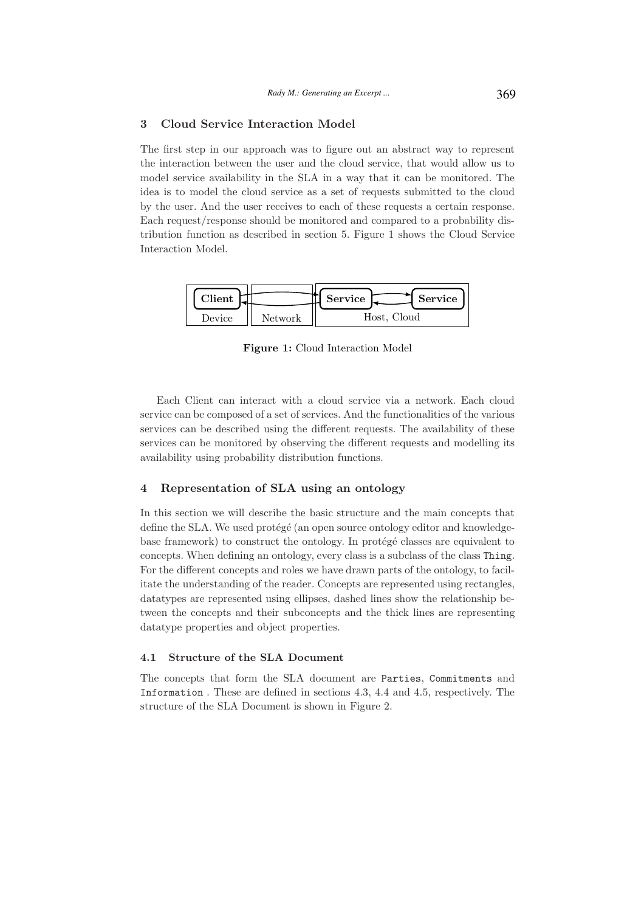## 3 Cloud Service Interaction Model

The first step in our approach was to figure out an abstract way to represent the interaction between the user and the cloud service, that would allow us to model service availability in the SLA in a way that it can be monitored. The idea is to model the cloud service as a set of requests submitted to the cloud by the user. And the user receives to each of these requests a certain response. Each request/response should be monitored and compared to a probability distribution function as described in section 5. Figure 1 shows the Cloud Service Interaction Model.

| <b>Client</b> |         | Service<br><b>Service</b> |
|---------------|---------|---------------------------|
| Device.       | Network | Host, Cloud               |

Figure 1: Cloud Interaction Model

Each Client can interact with a cloud service via a network. Each cloud service can be composed of a set of services. And the functionalities of the various services can be described using the different requests. The availability of these services can be monitored by observing the different requests and modelling its availability using probability distribution functions.

#### 4 Representation of SLA using an ontology

In this section we will describe the basic structure and the main concepts that define the SLA. We used protégé (an open source ontology editor and knowledgebase framework) to construct the ontology. In protégé classes are equivalent to concepts. When defining an ontology, every class is a subclass of the class Thing. For the different concepts and roles we have drawn parts of the ontology, to facilitate the understanding of the reader. Concepts are represented using rectangles, datatypes are represented using ellipses, dashed lines show the relationship between the concepts and their subconcepts and the thick lines are representing datatype properties and object properties.

# 4.1 Structure of the SLA Document

The concepts that form the SLA document are Parties, Commitments and Information . These are defined in sections 4.3, 4.4 and 4.5, respectively. The structure of the SLA Document is shown in Figure 2.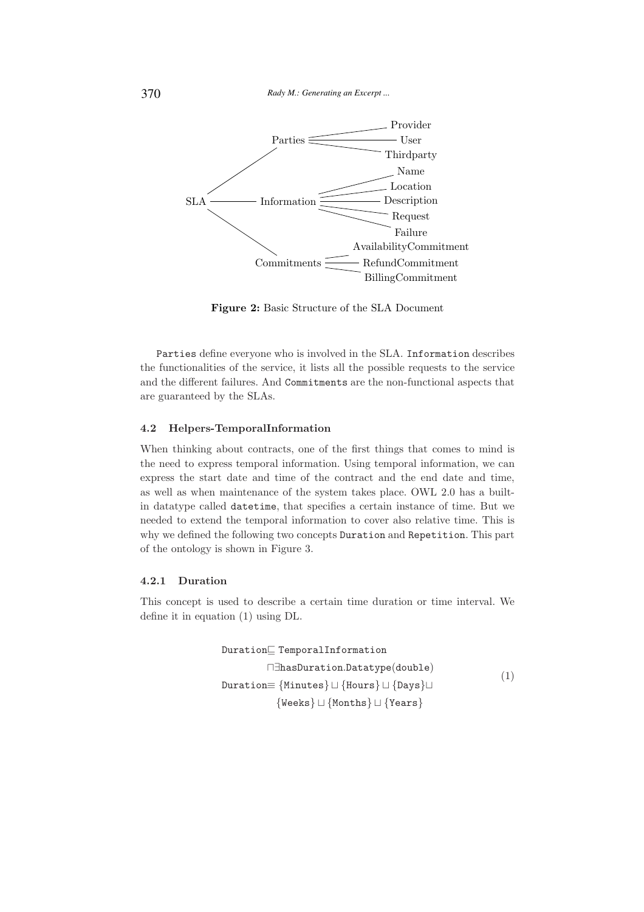

Figure 2: Basic Structure of the SLA Document

Parties define everyone who is involved in the SLA. Information describes the functionalities of the service, it lists all the possible requests to the service and the different failures. And Commitments are the non-functional aspects that are guaranteed by the SLAs.

#### 4.2 Helpers-TemporalInformation

When thinking about contracts, one of the first things that comes to mind is the need to express temporal information. Using temporal information, we can express the start date and time of the contract and the end date and time, as well as when maintenance of the system takes place. OWL 2.0 has a builtin datatype called datetime, that specifies a certain instance of time. But we needed to extend the temporal information to cover also relative time. This is why we defined the following two concepts Duration and Repetition. This part of the ontology is shown in Figure 3.

#### 4.2.1 Duration

This concept is used to describe a certain time duration or time interval. We define it in equation (1) using DL.

Duration⊑ TemporalInformation ⊓∃hasDuration.Datatype(double) Duration≡ {Minutes} ⊔ {Hours} ⊔ {Days}⊔ {Weeks} ⊔ {Months} ⊔ {Years} (1)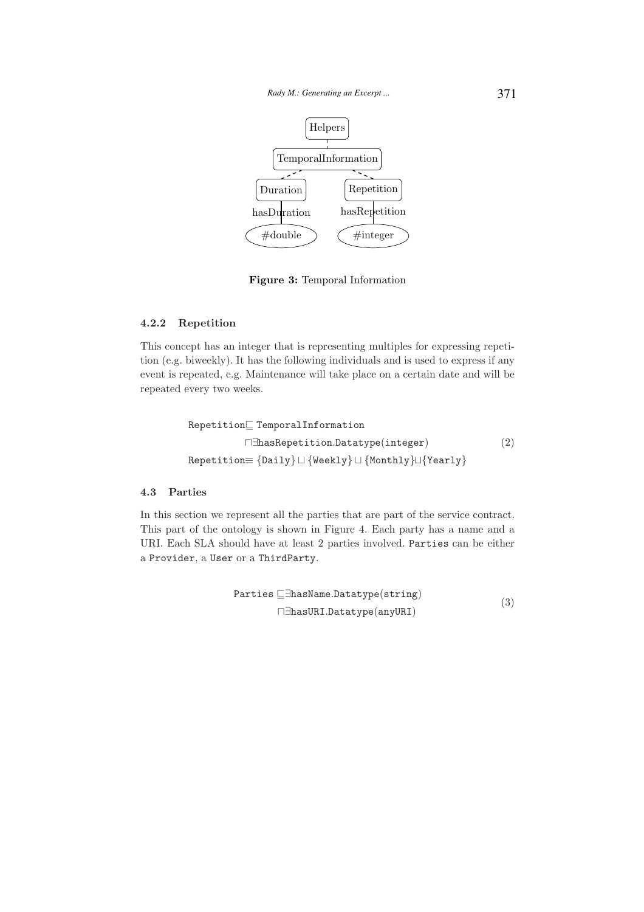

Figure 3: Temporal Information

# 4.2.2 Repetition

This concept has an integer that is representing multiples for expressing repetition (e.g. biweekly). It has the following individuals and is used to express if any event is repeated, e.g. Maintenance will take place on a certain date and will be repeated every two weeks.

```
Repetition⊑ TemporalInformation
          ⊓∃hasRepetition.Datatype(integer)
Repetition≡ {Daily} ⊔ {Weekly} ⊔ {Monthly}⊔{Yearly}
                                                         (2)
```
#### 4.3 Parties

In this section we represent all the parties that are part of the service contract. This part of the ontology is shown in Figure 4. Each party has a name and a URI. Each SLA should have at least 2 parties involved. Parties can be either a Provider, a User or a ThirdParty.

$$
\begin{aligned} \mathtt{Parties} \sqsubseteq \!\exists \mathtt{hasName}. \mathtt{Datotype}(\mathtt{string}) \\ \sqcap \exists \mathtt{hasURL}. \mathtt{Datotype}(\mathtt{anyURL}) \end{aligned} \tag{3}
$$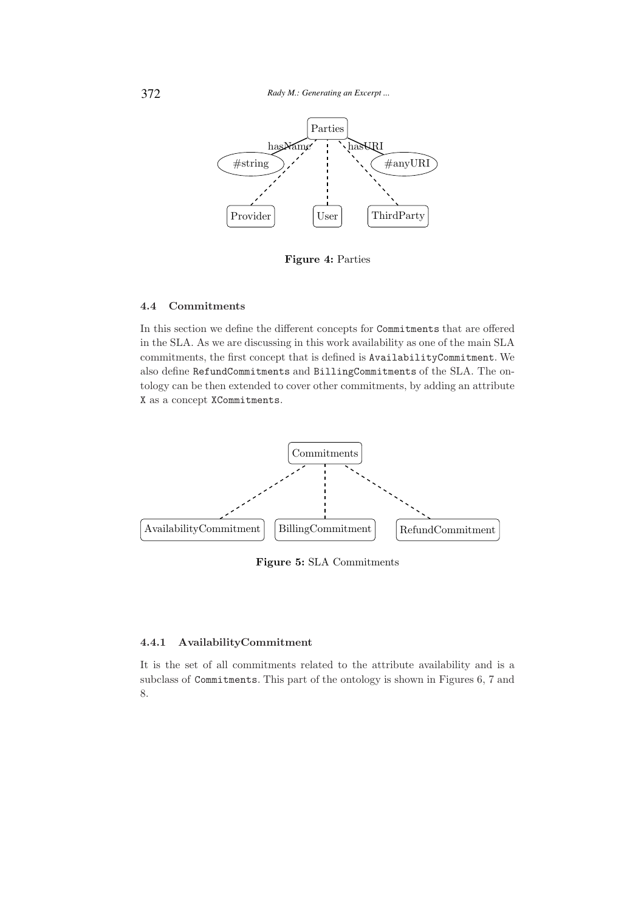

Figure 4: Parties

# 4.4 Commitments

In this section we define the different concepts for Commitments that are offered in the SLA. As we are discussing in this work availability as one of the main SLA commitments, the first concept that is defined is AvailabilityCommitment. We also define RefundCommitments and BillingCommitments of the SLA. The ontology can be then extended to cover other commitments, by adding an attribute X as a concept XCommitments.



Figure 5: SLA Commitments

# 4.4.1 AvailabilityCommitment

It is the set of all commitments related to the attribute availability and is a subclass of Commitments. This part of the ontology is shown in Figures 6, 7 and 8.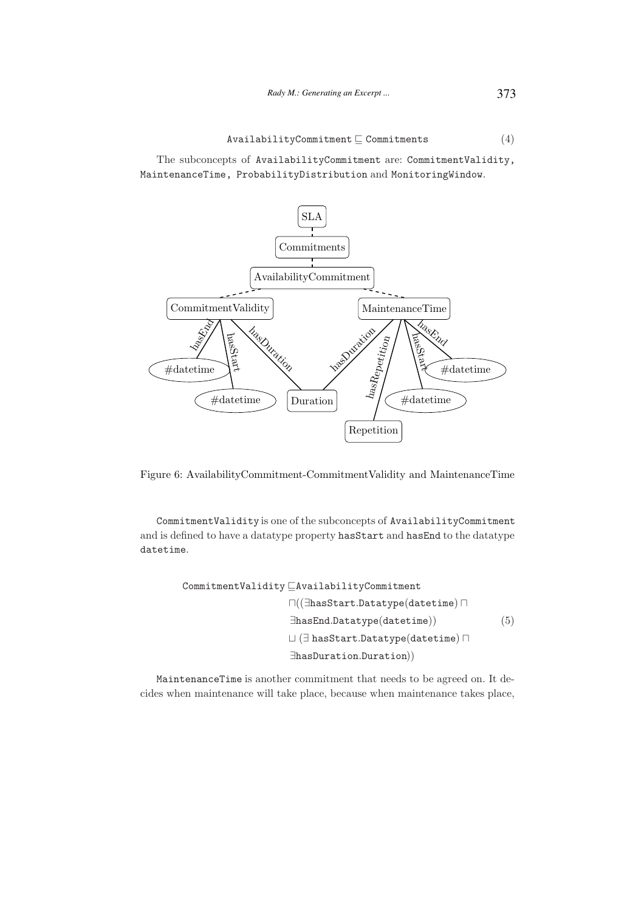The subconcepts of AvailabilityCommitment are: CommitmentValidity, MaintenanceTime, ProbabilityDistribution and MonitoringWindow.



Figure 6: AvailabilityCommitment-CommitmentValidity and MaintenanceTime

CommitmentValidity is one of the subconcepts of AvailabilityCommitment and is defined to have a datatype property hasStart and hasEnd to the datatype datetime.

> CommitmentValidity ⊑AvailabilityCommitment ⊓((∃hasStart.Datatype(datetime) ⊓ ∃hasEnd.Datatype(datetime)) ⊔ (∃ hasStart.Datatype(datetime) ⊓ ∃hasDuration.Duration)) (5)

MaintenanceTime is another commitment that needs to be agreed on. It decides when maintenance will take place, because when maintenance takes place,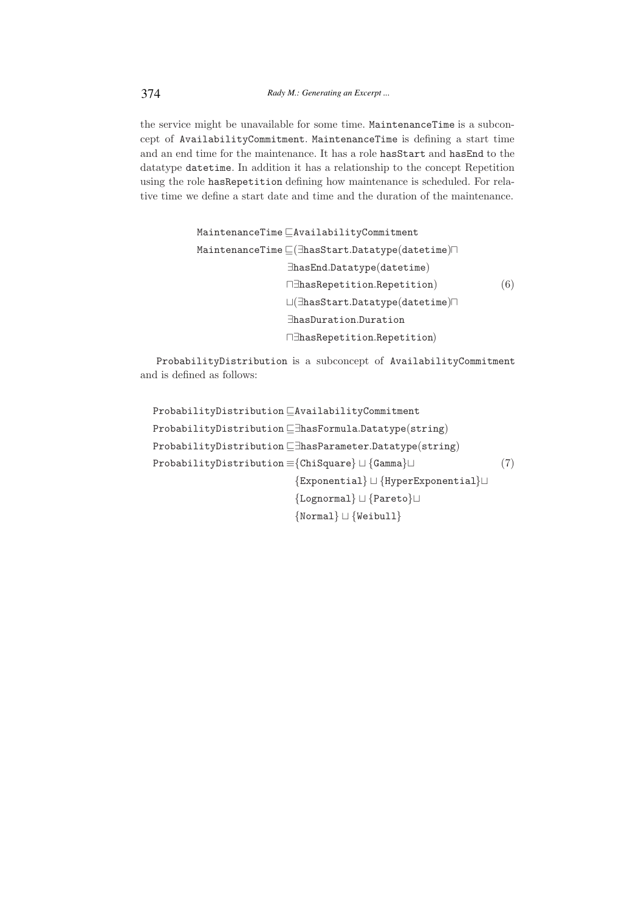the service might be unavailable for some time. MaintenanceTime is a subconcept of AvailabilityCommitment. MaintenanceTime is defining a start time and an end time for the maintenance. It has a role hasStart and hasEnd to the datatype datetime. In addition it has a relationship to the concept Repetition using the role hasRepetition defining how maintenance is scheduled. For relative time we define a start date and time and the duration of the maintenance.

```
MaintenanceTime ⊑AvailabilityCommitment
MaintenanceTime ⊑(∃hasStart.Datatype(datetime)⊓
                ∃hasEnd.Datatype(datetime)
                ⊓∃hasRepetition.Repetition)
                ⊔(∃hasStart.Datatype(datetime)⊓
                ∃hasDuration.Duration
                ⊓∃hasRepetition.Repetition)
                                                       (6)
```
ProbabilityDistribution is a subconcept of AvailabilityCommitment and is defined as follows:

```
ProbabilityDistribution ⊑AvailabilityCommitment
ProbabilityDistribution ⊑∃hasFormula.Datatype(string)
ProbabilityDistribution ⊑∃hasParameter.Datatype(string)
ProbabilityDistribution ≡{ChiSquare} ⊔ {Gamma}⊔
                         {Exponential} ⊔ {HyperExponential}⊔
                         {Lognormal} ⊔ {Pareto}⊔
                         {Normal} ⊔ {Weibull}
                                                               (7)
```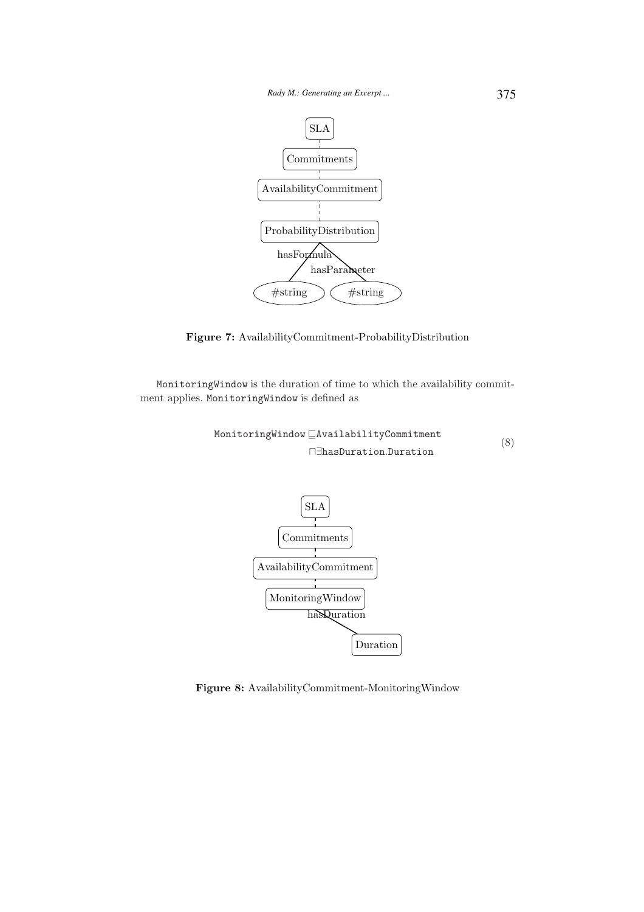

Figure 7: AvailabilityCommitment-ProbabilityDistribution

MonitoringWindow is the duration of time to which the availability commitment applies. MonitoringWindow is defined as

MonitoringWindow ⊑AvailabilityCommitment ⊓∃hasDuration.Duration (8)



Figure 8: AvailabilityCommitment-MonitoringWindow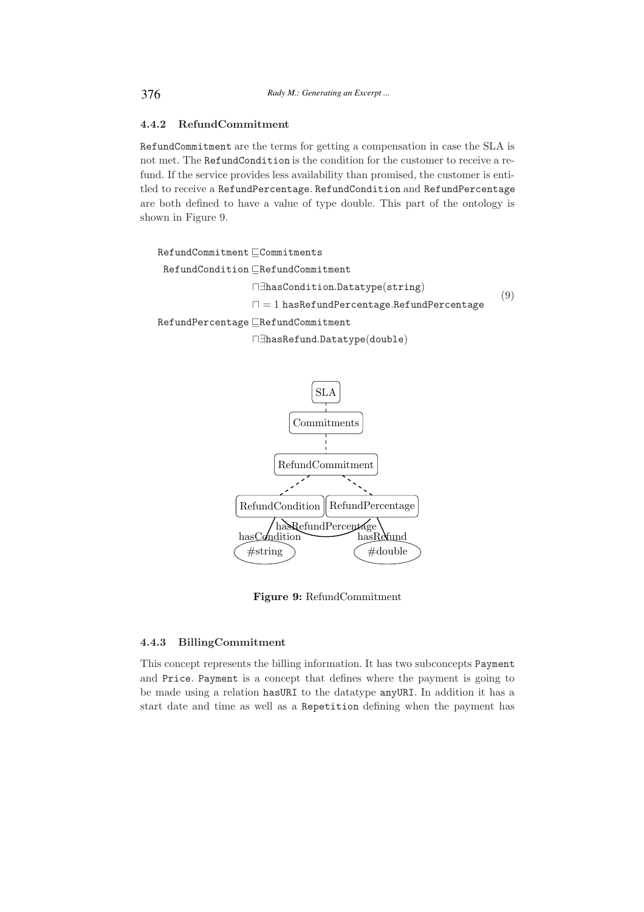## 4.4.2 RefundCommitment

RefundCommitment are the terms for getting a compensation in case the SLA is not met. The RefundCondition is the condition for the customer to receive a refund. If the service provides less availability than promised, the customer is entitled to receive a RefundPercentage. RefundCondition and RefundPercentage are both defined to have a value of type double. This part of the ontology is shown in Figure 9.

```
RefundCommitment ⊑Commitments
 RefundCondition ⊑RefundCommitment
                 ⊓∃hasCondition.Datatype(string)
                 ⊓ = 1 hasRefundPercentage.RefundPercentage
RefundPercentage ⊑RefundCommitment
                                                              (9)
```
⊓∃hasRefund.Datatype(double)



Figure 9: RefundCommitment

# 4.4.3 BillingCommitment

This concept represents the billing information. It has two subconcepts Payment and Price. Payment is a concept that defines where the payment is going to be made using a relation hasURI to the datatype anyURI. In addition it has a start date and time as well as a Repetition defining when the payment has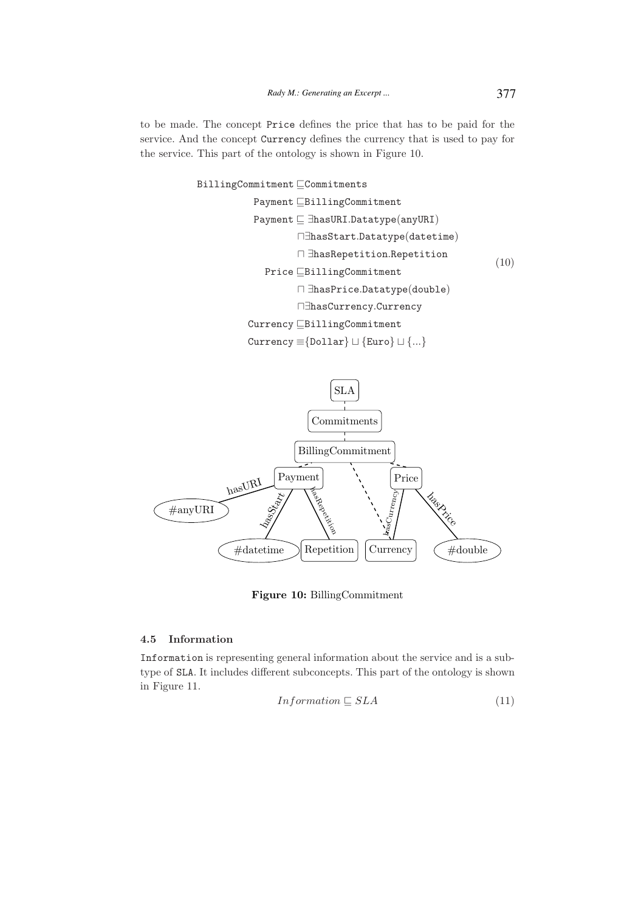to be made. The concept Price defines the price that has to be paid for the service. And the concept Currency defines the currency that is used to pay for the service. This part of the ontology is shown in Figure 10.

> BillingCommitment ⊑Commitments Payment ⊑BillingCommitment Payment ⊑ ∃hasURI.Datatype(anyURI) ⊓∃hasStart.Datatype(datetime) ⊓ ∃hasRepetition.Repetition Price ⊑BillingCommitment ⊓ ∃hasPrice.Datatype(double) ⊓∃hasCurrency.Currency Currency ⊑BillingCommitment Currency ≡{Dollar} ⊔ {Euro} ⊔ {...} (10)



Figure 10: BillingCommitment

#### 4.5 Information

Information is representing general information about the service and is a subtype of SLA. It includes different subconcepts. This part of the ontology is shown in Figure 11.

$$
Information \sqsubseteq SLA \tag{11}
$$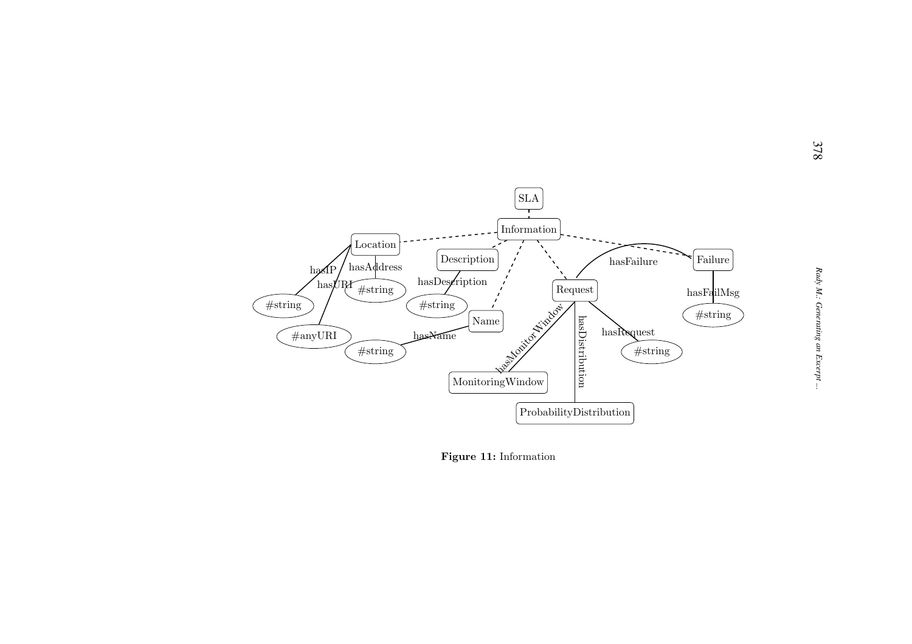

Figure 11: Information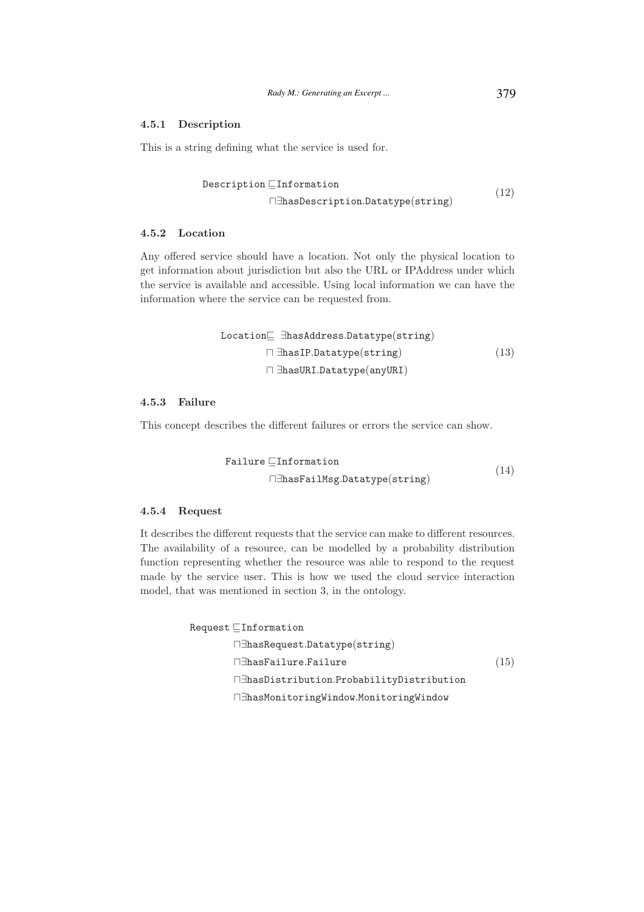# 4.5.1 Description

This is a string defining what the service is used for.

$$
\begin{array}{ll}\n\texttt{Description} \sqsubseteq \texttt{Information} \\
\Box \texttt{HasDescription}.\texttt{Datotype}(\texttt{string})\n\end{array} \tag{12}
$$

# 4.5.2 Location

Any offered service should have a location. Not only the physical location to get information about jurisdiction but also the URL or IPAddress under which the service is available and accessible. Using local information we can have the information where the service can be requested from.

Location⊆ 
$$
\exists
$$
 hasAddress.  
\nDatotype(string)

\n□  $\exists$  has IP.  
\nDatotype(suring)

\n□  $\exists$  has URL.  
\nDatotype(anyURI)

## 4.5.3 Failure

This concept describes the different failures or errors the service can show.

$$
\begin{aligned} \texttt{Failure} \sqsubseteq \texttt{Information} \\ \sqcap \exists \texttt{hasFailMsg.Datatype}(\texttt{string}) \end{aligned} \tag{14}
$$

#### 4.5.4 Request

It describes the different requests that the service can make to different resources. The availability of a resource, can be modelled by a probability distribution function representing whether the resource was able to respond to the request made by the service user. This is how we used the cloud service interaction model, that was mentioned in section 3, in the ontology.

```
Request ⊑Information
       ⊓∃hasRequest.Datatype(string)
       ⊓∃hasFailure.Failure
       ⊓∃hasDistribution.ProbabilityDistribution
       ⊓∃hasMonitoringWindow.MonitoringWindow
                                                       (15)
```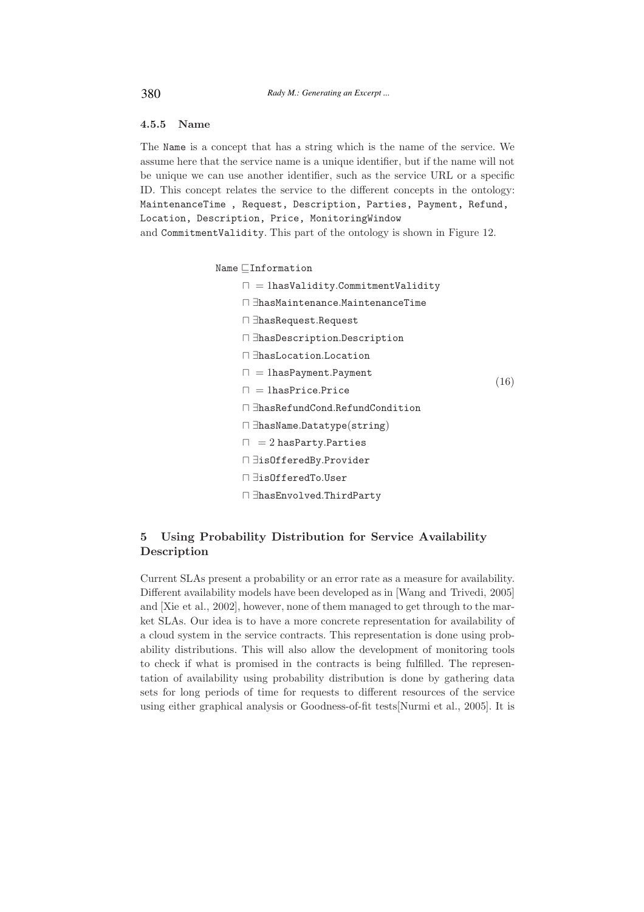# 4.5.5 Name

The Name is a concept that has a string which is the name of the service. We assume here that the service name is a unique identifier, but if the name will not be unique we can use another identifier, such as the service URL or a specific ID. This concept relates the service to the different concepts in the ontology: MaintenanceTime , Request, Description, Parties, Payment, Refund, Location, Description, Price, MonitoringWindow and CommitmentValidity. This part of the ontology is shown in Figure 12.

Name ⊑Information

- ⊓ = 1hasValidity.CommitmentValidity
- ⊓ ∃hasMaintenance.MaintenanceTime
- ⊓ ∃hasRequest.Request
- ⊓ ∃hasDescription.Description
- ⊓ ∃hasLocation.Location
- ⊓ = 1hasPayment.Payment
- ⊓ = 1hasPrice.Price

(16)

- ⊓ ∃hasRefundCond.RefundCondition
- ⊓ ∃hasName.Datatype(string)
- $□ = 2$  hasParty.Parties
- ⊓ ∃isOfferedBy.Provider
- ⊓ ∃isOfferedTo.User
- ⊓ ∃hasEnvolved.ThirdParty

# 5 Using Probability Distribution for Service Availability Description

Current SLAs present a probability or an error rate as a measure for availability. Different availability models have been developed as in [Wang and Trivedi, 2005] and [Xie et al., 2002], however, none of them managed to get through to the market SLAs. Our idea is to have a more concrete representation for availability of a cloud system in the service contracts. This representation is done using probability distributions. This will also allow the development of monitoring tools to check if what is promised in the contracts is being fulfilled. The representation of availability using probability distribution is done by gathering data sets for long periods of time for requests to different resources of the service using either graphical analysis or Goodness-of-fit tests[Nurmi et al., 2005]. It is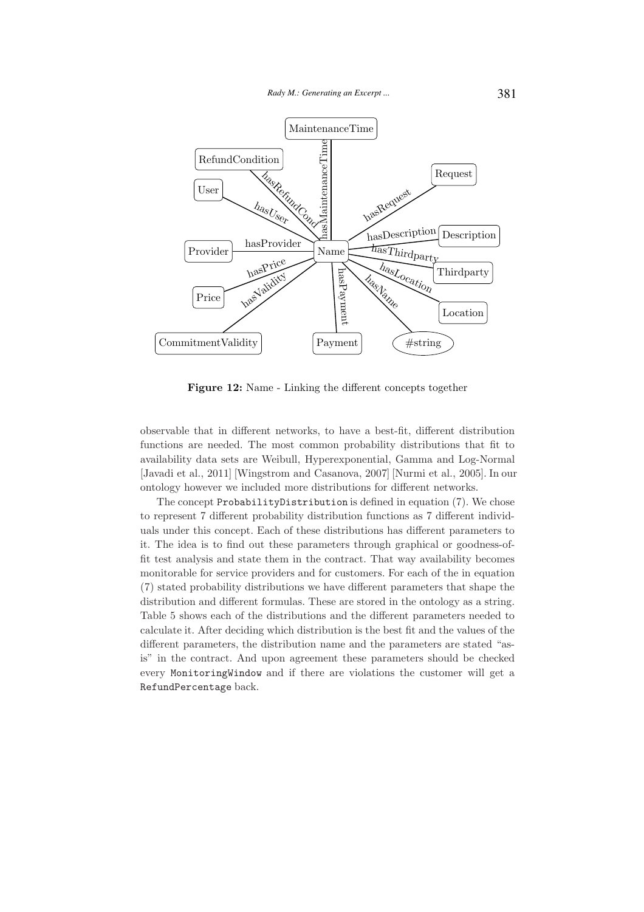

Figure 12: Name - Linking the different concepts together

observable that in different networks, to have a best-fit, different distribution functions are needed. The most common probability distributions that fit to availability data sets are Weibull, Hyperexponential, Gamma and Log-Normal [Javadi et al., 2011] [Wingstrom and Casanova, 2007] [Nurmi et al., 2005]. In our ontology however we included more distributions for different networks.

The concept ProbabilityDistribution is defined in equation (7). We chose to represent 7 different probability distribution functions as 7 different individuals under this concept. Each of these distributions has different parameters to it. The idea is to find out these parameters through graphical or goodness-offit test analysis and state them in the contract. That way availability becomes monitorable for service providers and for customers. For each of the in equation (7) stated probability distributions we have different parameters that shape the distribution and different formulas. These are stored in the ontology as a string. Table 5 shows each of the distributions and the different parameters needed to calculate it. After deciding which distribution is the best fit and the values of the different parameters, the distribution name and the parameters are stated "asis" in the contract. And upon agreement these parameters should be checked every MonitoringWindow and if there are violations the customer will get a RefundPercentage back.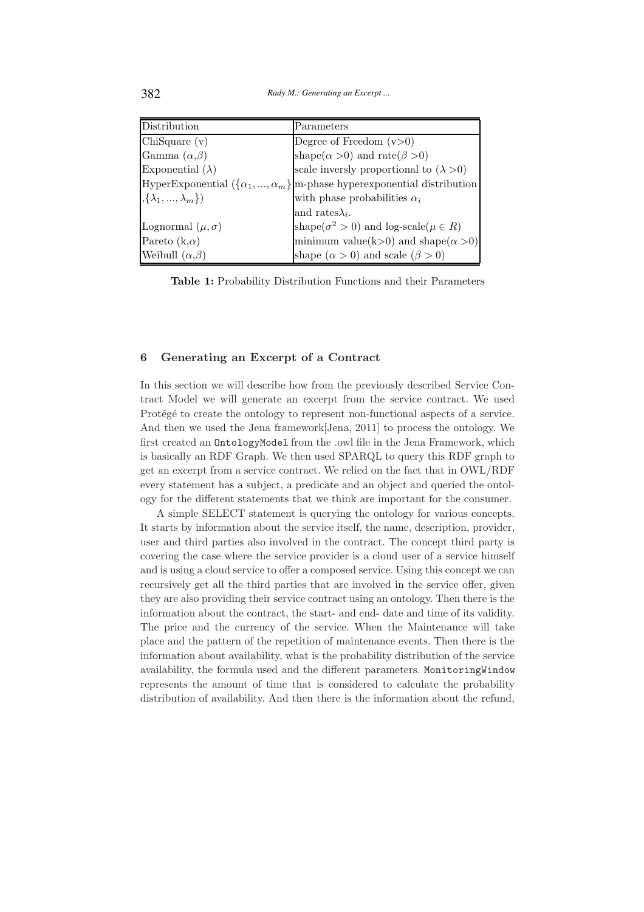382 *Rady M.: Generating an Excerpt ...*

| Distribution                  | Parameters                                                                        |
|-------------------------------|-----------------------------------------------------------------------------------|
| ChiSquare(v)                  | Degree of Freedom $(v>0)$                                                         |
| Gamma $(\alpha,\beta)$        | shape( $\alpha > 0$ ) and rate( $\beta > 0$ )                                     |
| Exponential $(\lambda)$       | scale inversly proportional to $(\lambda > 0)$                                    |
|                               | HyperExponential $(\{\alpha_1,,\alpha_m\}]$ m-phase hyperexponential distribution |
| $\{\lambda_1, , \lambda_m\}\$ | with phase probabilities $\alpha_i$                                               |
|                               | and rates $\lambda_i$ .                                                           |
| Lognormal $(\mu, \sigma)$     | shape( $\sigma^2 > 0$ ) and log-scale( $\mu \in R$ )                              |
| Pareto $(k,\alpha)$           | minimum value(k>0) and shape( $\alpha$ >0)                                        |
| Weibull $(\alpha,\beta)$      | shape $(\alpha > 0)$ and scale $(\beta > 0)$                                      |

Table 1: Probability Distribution Functions and their Parameters

#### 6 Generating an Excerpt of a Contract

In this section we will describe how from the previously described Service Contract Model we will generate an excerpt from the service contract. We used Protégé to create the ontology to represent non-functional aspects of a service. And then we used the Jena framework[Jena, 2011] to process the ontology. We first created an OntologyModel from the .owl file in the Jena Framework, which is basically an RDF Graph. We then used SPARQL to query this RDF graph to get an excerpt from a service contract. We relied on the fact that in OWL/RDF every statement has a subject, a predicate and an object and queried the ontology for the different statements that we think are important for the consumer.

A simple SELECT statement is querying the ontology for various concepts. It starts by information about the service itself, the name, description, provider, user and third parties also involved in the contract. The concept third party is covering the case where the service provider is a cloud user of a service himself and is using a cloud service to offer a composed service. Using this concept we can recursively get all the third parties that are involved in the service offer, given they are also providing their service contract using an ontology. Then there is the information about the contract, the start- and end- date and time of its validity. The price and the currency of the service. When the Maintenance will take place and the pattern of the repetition of maintenance events. Then there is the information about availability, what is the probability distribution of the service availability, the formula used and the different parameters. MonitoringWindow represents the amount of time that is considered to calculate the probability distribution of availability. And then there is the information about the refund,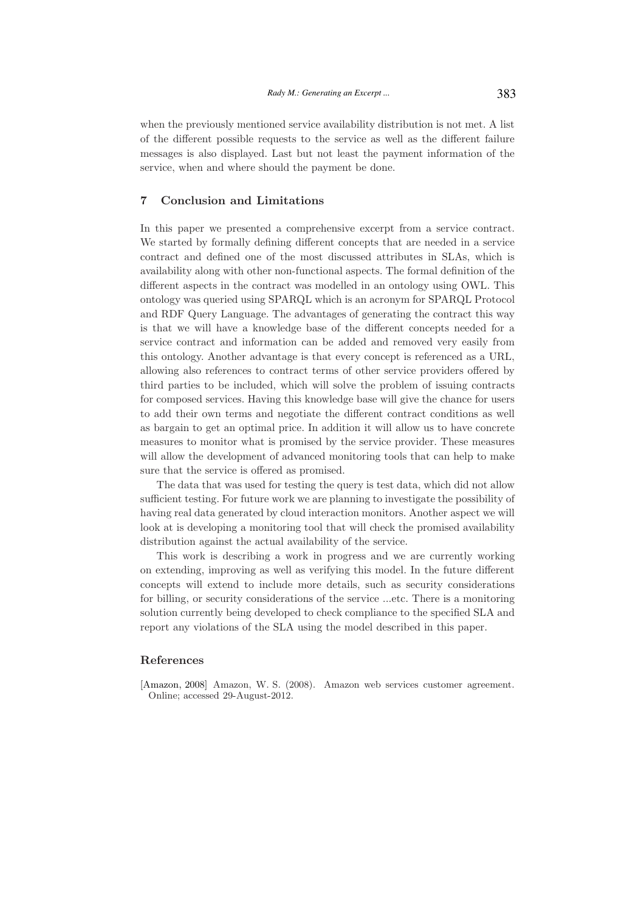when the previously mentioned service availability distribution is not met. A list of the different possible requests to the service as well as the different failure messages is also displayed. Last but not least the payment information of the service, when and where should the payment be done.

# 7 Conclusion and Limitations

In this paper we presented a comprehensive excerpt from a service contract. We started by formally defining different concepts that are needed in a service contract and defined one of the most discussed attributes in SLAs, which is availability along with other non-functional aspects. The formal definition of the different aspects in the contract was modelled in an ontology using OWL. This ontology was queried using SPARQL which is an acronym for SPARQL Protocol and RDF Query Language. The advantages of generating the contract this way is that we will have a knowledge base of the different concepts needed for a service contract and information can be added and removed very easily from this ontology. Another advantage is that every concept is referenced as a URL, allowing also references to contract terms of other service providers offered by third parties to be included, which will solve the problem of issuing contracts for composed services. Having this knowledge base will give the chance for users to add their own terms and negotiate the different contract conditions as well as bargain to get an optimal price. In addition it will allow us to have concrete measures to monitor what is promised by the service provider. These measures will allow the development of advanced monitoring tools that can help to make sure that the service is offered as promised.

The data that was used for testing the query is test data, which did not allow sufficient testing. For future work we are planning to investigate the possibility of having real data generated by cloud interaction monitors. Another aspect we will look at is developing a monitoring tool that will check the promised availability distribution against the actual availability of the service.

This work is describing a work in progress and we are currently working on extending, improving as well as verifying this model. In the future different concepts will extend to include more details, such as security considerations for billing, or security considerations of the service ...etc. There is a monitoring solution currently being developed to check compliance to the specified SLA and report any violations of the SLA using the model described in this paper.

#### References

[Amazon, 2008] Amazon, W. S. (2008). Amazon web services customer agreement. Online; accessed 29-August-2012.